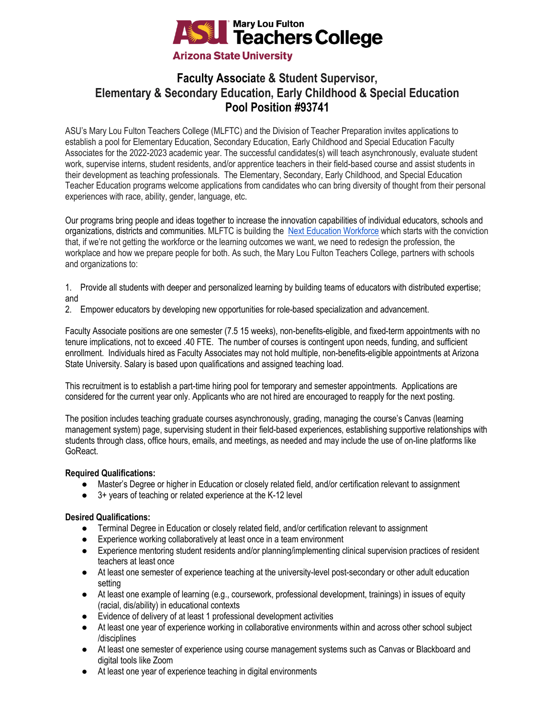

# **Faculty Associate & Student Supervisor, Elementary & Secondary Education, Early Childhood & Special Education Pool Position #93741**

ASU's Mary Lou Fulton Teachers College (MLFTC) and the Division of Teacher Preparation invites applications to establish a pool for Elementary Education, Secondary Education, Early Childhood and Special Education Faculty Associates for the 2022-2023 academic year. The successful candidates(s) will teach asynchronously, evaluate student work, supervise interns, student residents, and/or apprentice teachers in their field-based course and assist students in their development as teaching professionals. The Elementary, Secondary, Early Childhood, and Special Education Teacher Education programs welcome applications from candidates who can bring diversity of thought from their personal experiences with race, ability, gender, language, etc.

Our programs bring people and ideas together to increase the innovation capabilities of individual educators, schools and organizations, districts and communities. MLFTC is building the [Next Education Workforce](https://workforce.education.asu.edu/?utm_source=mlftc&utm_medium=redirect&utm_campaign=top_nav) which starts with the conviction that, if we're not getting the workforce or the learning outcomes we want, we need to redesign the profession, the workplace and how we prepare people for both. As such, the Mary Lou Fulton Teachers College, partners with schools and organizations to:

1. Provide all students with deeper and personalized learning by building teams of educators with distributed expertise; and

2. Empower educators by developing new opportunities for role-based specialization and advancement.

Faculty Associate positions are one semester (7.5 15 weeks), non-benefits-eligible, and fixed-term appointments with no tenure implications, not to exceed .40 FTE. The number of courses is contingent upon needs, funding, and sufficient enrollment. Individuals hired as Faculty Associates may not hold multiple, non-benefits-eligible appointments at Arizona State University. Salary is based upon qualifications and assigned teaching load.

This recruitment is to establish a part-time hiring pool for temporary and semester appointments. Applications are considered for the current year only. Applicants who are not hired are encouraged to reapply for the next posting.

The position includes teaching graduate courses asynchronously, grading, managing the course's Canvas (learning management system) page, supervising student in their field-based experiences, establishing supportive relationships with students through class, office hours, emails, and meetings, as needed and may include the use of on-line platforms like GoReact.

## **Required Qualifications:**

- Master's Degree or higher in Education or closely related field, and/or certification relevant to assignment
- 3+ years of teaching or related experience at the K-12 level

### **Desired Qualifications:**

- Terminal Degree in Education or closely related field, and/or certification relevant to assignment
- Experience working collaboratively at least once in a team environment
- Experience mentoring student residents and/or planning/implementing clinical supervision practices of resident teachers at least once
- At least one semester of experience teaching at the university-level post-secondary or other adult education setting
- At least one example of learning (e.g., coursework, professional development, trainings) in issues of equity (racial, dis/ability) in educational contexts
- Evidence of delivery of at least 1 professional development activities
- At least one year of experience working in collaborative environments within and across other school subject /disciplines
- At least one semester of experience using course management systems such as Canvas or Blackboard and digital tools like Zoom
- At least one year of experience teaching in digital environments